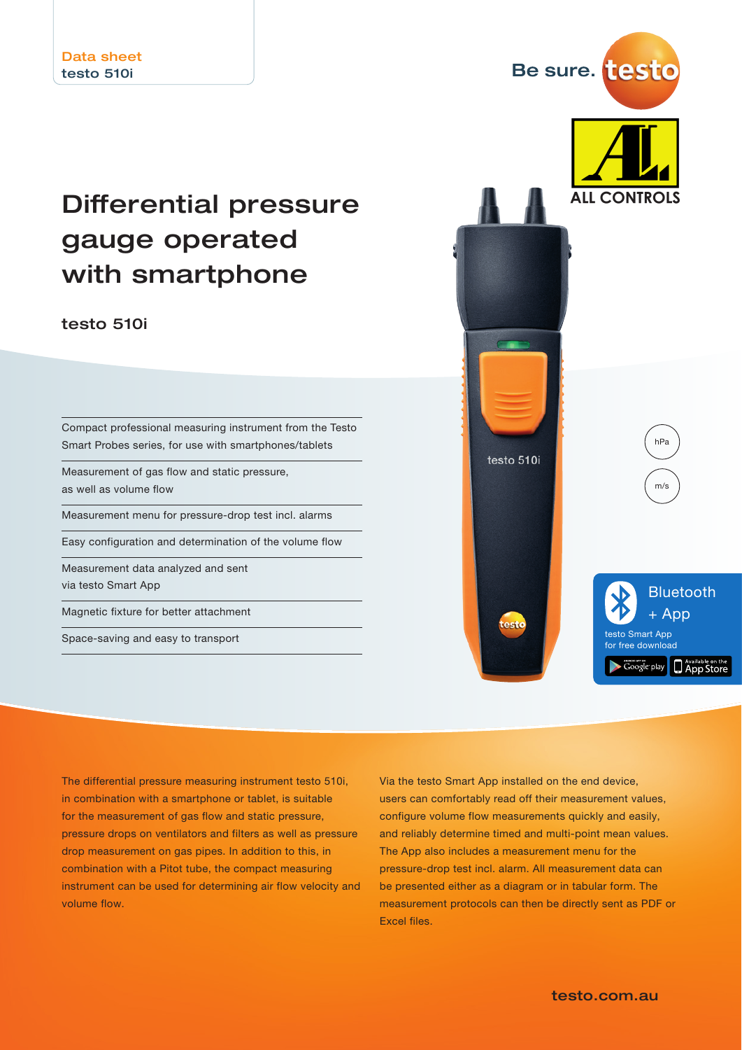# Differential pressure gauge operated with smartphone

## testo 510i

Compact professional measuring instrument from the Testo Smart Probes series, for use with smartphones/tablets

Measurement of gas flow and static pressure, as well as volume flow

Measurement menu for pressure-drop test incl. alarms

Easy configuration and determination of the volume flow

Measurement data analyzed and sent via testo Smart App

Magnetic fixture for better attachment

Space-saving and easy to transport



The differential pressure measuring instrument testo 510i, in combination with a smartphone or tablet, is suitable for the measurement of gas flow and static pressure, pressure drops on ventilators and filters as well as pressure drop measurement on gas pipes. In addition to this, in combination with a Pitot tube, the compact measuring instrument can be used for determining air flow velocity and volume flow.

Via the testo Smart App installed on the end device, users can comfortably read off their measurement values, configure volume flow measurements quickly and easily, and reliably determine timed and multi-point mean values. The App also includes a measurement menu for the pressure-drop test incl. alarm. All measurement data can be presented either as a diagram or in tabular form. The measurement protocols can then be directly sent as PDF or Excel files.